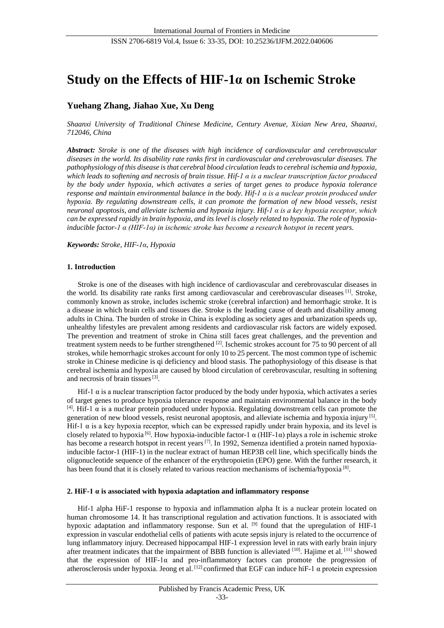# **Study on the Effects of HIF-1α on Ischemic Stroke**

# **Yuehang Zhang, Jiahao Xue, Xu Deng**

*Shaanxi University of Traditional Chinese Medicine, Century Avenue, Xixian New Area, Shaanxi, 712046, China*

*Abstract: Stroke is one of the diseases with high incidence of cardiovascular and cerebrovascular diseases in the world. Its disability rate ranks first in cardiovascular and cerebrovascular diseases. The pathophysiology of this disease is that cerebral blood circulation leads to cerebral ischemia and hypoxia, which leads to softening and necrosis of brain tissue. Hif-1 α is a nuclear transcription factor produced by the body under hypoxia, which activates a series of target genes to produce hypoxia tolerance response and maintain environmental balance in the body. Hif-1 α is a nuclear protein produced under hypoxia. By regulating downstream cells, it can promote the formation of new blood vessels, resist neuronal apoptosis, and alleviate ischemia and hypoxia injury. Hif-1 α is a key hypoxia receptor, which can be expressed rapidly in brain hypoxia, and its level is closely related to hypoxia. The role of hypoxiainducible factor-1 α (HIF-1α) in ischemic stroke has become a research hotspot in recent years.*

*Keywords: Stroke, HIF-1α, Hypoxia*

#### **1. Introduction**

Stroke is one of the diseases with high incidence of cardiovascular and cerebrovascular diseases in the world. Its disability rate ranks first among cardiovascular and cerebrovascular diseases [1]. Stroke, commonly known as stroke, includes ischemic stroke (cerebral infarction) and hemorrhagic stroke. It is a disease in which brain cells and tissues die. Stroke is the leading cause of death and disability among adults in China. The burden of stroke in China is exploding as society ages and urbanization speeds up, unhealthy lifestyles are prevalent among residents and cardiovascular risk factors are widely exposed. The prevention and treatment of stroke in China still faces great challenges, and the prevention and treatment system needs to be further strengthened [2]. Ischemic strokes account for 75 to 90 percent of all strokes, while hemorrhagic strokes account for only 10 to 25 percent. The most common type of ischemic stroke in Chinese medicine is qi deficiency and blood stasis. The pathophysiology of this disease is that cerebral ischemia and hypoxia are caused by blood circulation of cerebrovascular, resulting in softening and necrosis of brain tissues<sup>[3]</sup>.

Hif-1  $\alpha$  is a nuclear transcription factor produced by the body under hypoxia, which activates a series of target genes to produce hypoxia tolerance response and maintain environmental balance in the body <sup>[4]</sup>. Hif-1 α is a nuclear protein produced under hypoxia. Regulating downstream cells can promote the generation of new blood vessels, resist neuronal apoptosis, and alleviate ischemia and hypoxia injury <sup>[5]</sup>. Hif-1  $\alpha$  is a key hypoxia receptor, which can be expressed rapidly under brain hypoxia, and its level is closely related to hypoxia<sup>[6]</sup>. How hypoxia-inducible factor-1  $\alpha$  (HIF-1 $\alpha$ ) plays a role in ischemic stroke has become a research hotspot in recent years<sup>[7]</sup>. In 1992, Semenza identified a protein named hypoxiainducible factor-1 (HIF-1) in the nuclear extract of human HEP3B cell line, which specifically binds the oligonucleotide sequence of the enhancer of the erythropoietin (EPO) gene. With the further research, it has been found that it is closely related to various reaction mechanisms of ischemia/hypoxia<sup>[8]</sup>.

#### **2. HiF-1 α is associated with hypoxia adaptation and inflammatory response**

Hif-1 alpha HiF-1 response to hypoxia and inflammation alpha It is a nuclear protein located on human chromosome 14. It has transcriptional regulation and activation functions. It is associated with hypoxic adaptation and inflammatory response. Sun et al. <sup>[9]</sup> found that the upregulation of HIF-1 expression in vascular endothelial cells of patients with acute sepsis injury is related to the occurrence of lung inflammatory injury. Decreased hippocampal HIF-1 expression level in rats with early brain injury after treatment indicates that the impairment of BBB function is alleviated [10]. Hajime et al. [11] showed that the expression of HIF-1α and pro-inflammatory factors can promote the progression of atherosclerosis under hypoxia. Jeong et al.  $^{[12]}$  confirmed that EGF can induce hiF-1  $\alpha$  protein expression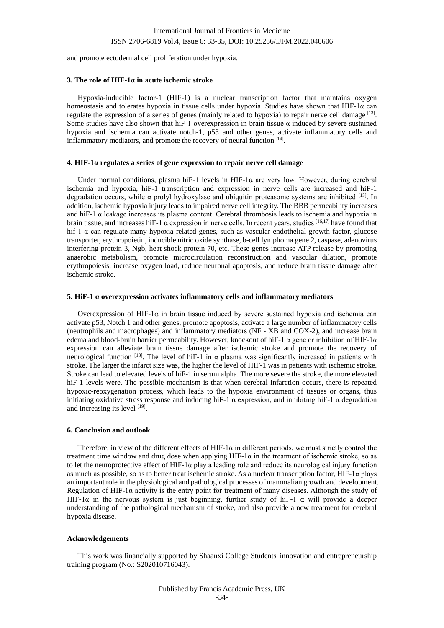## ISSN 2706-6819 Vol.4, Issue 6: 33-35, DOI: 10.25236/IJFM.2022.040606

and promote ectodermal cell proliferation under hypoxia.

#### **3. The role of HIF-1α in acute ischemic stroke**

Hypoxia-inducible factor-1 (HIF-1) is a nuclear transcription factor that maintains oxygen homeostasis and tolerates hypoxia in tissue cells under hypoxia. Studies have shown that HIF-1α can regulate the expression of a series of genes (mainly related to hypoxia) to repair nerve cell damage  $[13]$ . Some studies have also shown that hiF-1 overexpression in brain tissue  $\alpha$  induced by severe sustained hypoxia and ischemia can activate notch-1, p53 and other genes, activate inflammatory cells and inflammatory mediators, and promote the recovery of neural function [14].

#### **4. HIF-1α regulates a series of gene expression to repair nerve cell damage**

Under normal conditions, plasma hiF-1 levels in HIF-1α are very low. However, during cerebral ischemia and hypoxia, hiF-1 transcription and expression in nerve cells are increased and hiF-1 degradation occurs, while  $\alpha$  prolyl hydroxylase and ubiquitin proteasome systems are inhibited  $[15]$ . In addition, ischemic hypoxia injury leads to impaired nerve cell integrity. The BBB permeability increases and hiF-1 α leakage increases its plasma content. Cerebral thrombosis leads to ischemia and hypoxia in brain tissue, and increases hiF-1 α expression in nerve cells. In recent years, studies [16,17] have found that hif-1 α can regulate many hypoxia-related genes, such as vascular endothelial growth factor, glucose transporter, erythropoietin, inducible nitric oxide synthase, b-cell lymphoma gene 2, caspase, adenovirus interfering protein 3, Ngb, heat shock protein 70, etc. These genes increase ATP release by promoting anaerobic metabolism, promote microcirculation reconstruction and vascular dilation, promote erythropoiesis, increase oxygen load, reduce neuronal apoptosis, and reduce brain tissue damage after ischemic stroke.

#### **5. HiF-1 α overexpression activates inflammatory cells and inflammatory mediators**

Overexpression of HIF-1 $\alpha$  in brain tissue induced by severe sustained hypoxia and ischemia can activate p53, Notch 1 and other genes, promote apoptosis, activate a large number of inflammatory cells (neutrophils and macrophages) and inflammatory mediators (NF - XB and COX-2), and increase brain edema and blood-brain barrier permeability. However, knockout of hiF-1 α gene or inhibition of HIF-1α expression can alleviate brain tissue damage after ischemic stroke and promote the recovery of neurological function [18]. The level of hiF-1 in α plasma was significantly increased in patients with stroke. The larger the infarct size was, the higher the level of HIF-1 was in patients with ischemic stroke. Stroke can lead to elevated levels of hiF-1 in serum alpha. The more severe the stroke, the more elevated hiF-1 levels were. The possible mechanism is that when cerebral infarction occurs, there is repeated hypoxic-reoxygenation process, which leads to the hypoxia environment of tissues or organs, thus initiating oxidative stress response and inducing hif-1  $\alpha$  expression, and inhibiting hif-1  $\alpha$  degradation and increasing its level [19].

#### **6. Conclusion and outlook**

Therefore, in view of the different effects of HIF-1 $\alpha$  in different periods, we must strictly control the treatment time window and drug dose when applying HIF-1 $\alpha$  in the treatment of ischemic stroke, so as to let the neuroprotective effect of HIF-1α play a leading role and reduce its neurological injury function as much as possible, so as to better treat ischemic stroke. As a nuclear transcription factor, HIF-1 $\alpha$  plays an important role in the physiological and pathological processes of mammalian growth and development. Regulation of HIF-1α activity is the entry point for treatment of many diseases. Although the study of HIF-1 $\alpha$  in the nervous system is just beginning, further study of hiF-1  $\alpha$  will provide a deeper understanding of the pathological mechanism of stroke, and also provide a new treatment for cerebral hypoxia disease.

#### **Acknowledgements**

This work was financially supported by Shaanxi College Students' innovation and entrepreneurship training program (No.: S202010716043).